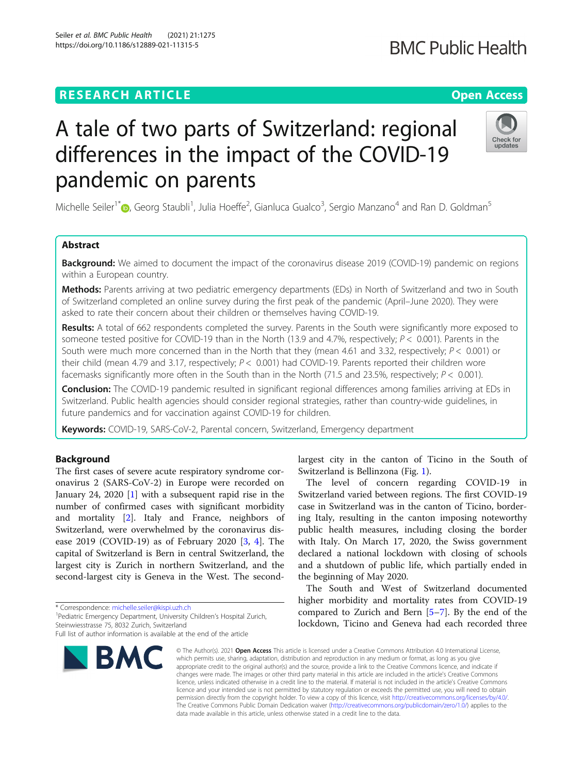## **RESEARCH ARTICLE Example 2014 12:30 The Contract of Contract ACCESS**

# A tale of two parts of Switzerland: regional differences in the impact of the COVID-19 pandemic on parents

Michelle Seiler<sup>1\*</sup>®, Georg Staubli<sup>1</sup>, Julia Hoeffe<sup>2</sup>, Gianluca Gualco<sup>3</sup>, Sergio Manzano<sup>4</sup> and Ran D. Goldman<sup>5</sup>

## Abstract

**Background:** We aimed to document the impact of the coronavirus disease 2019 (COVID-19) pandemic on regions within a European country.

Methods: Parents arriving at two pediatric emergency departments (EDs) in North of Switzerland and two in South of Switzerland completed an online survey during the first peak of the pandemic (April–June 2020). They were asked to rate their concern about their children or themselves having COVID-19.

Results: A total of 662 respondents completed the survey. Parents in the South were significantly more exposed to someone tested positive for COVID-19 than in the North (13.9 and 4.7%, respectively;  $P < 0.001$ ). Parents in the South were much more concerned than in the North that they (mean 4.61 and 3.32, respectively;  $P < 0.001$ ) or their child (mean 4.79 and 3.17, respectively;  $P < 0.001$ ) had COVID-19. Parents reported their children wore facemasks significantly more often in the South than in the North (71.5 and 23.5%, respectively;  $P < 0.001$ ).

Conclusion: The COVID-19 pandemic resulted in significant regional differences among families arriving at EDs in Switzerland. Public health agencies should consider regional strategies, rather than country-wide guidelines, in future pandemics and for vaccination against COVID-19 for children.

Keywords: COVID-19, SARS-CoV-2, Parental concern, Switzerland, Emergency department

## Background

The first cases of severe acute respiratory syndrome coronavirus 2 (SARS-CoV-2) in Europe were recorded on January 24, 2020 [[1\]](#page-4-0) with a subsequent rapid rise in the number of confirmed cases with significant morbidity and mortality [[2\]](#page-5-0). Italy and France, neighbors of Switzerland, were overwhelmed by the coronavirus disease 2019 (COVID-19) as of February 2020 [[3,](#page-5-0) [4\]](#page-5-0). The capital of Switzerland is Bern in central Switzerland, the largest city is Zurich in northern Switzerland, and the second-largest city is Geneva in the West. The second-

\* Correspondence: [michelle.seiler@kispi.uzh.ch](mailto:michelle.seiler@kispi.uzh.ch) <sup>1</sup>

BMC

largest city in the canton of Ticino in the South of Switzerland is Bellinzona (Fig. [1\)](#page-1-0).

The level of concern regarding COVID-19 in Switzerland varied between regions. The first COVID-19 case in Switzerland was in the canton of Ticino, bordering Italy, resulting in the canton imposing noteworthy public health measures, including closing the border with Italy. On March 17, 2020, the Swiss government declared a national lockdown with closing of schools and a shutdown of public life, which partially ended in the beginning of May 2020.

The South and West of Switzerland documented higher morbidity and mortality rates from COVID-19 compared to Zurich and Bern [[5](#page-5-0)–[7](#page-5-0)]. By the end of the lockdown, Ticino and Geneva had each recorded three

© The Author(s), 2021 **Open Access** This article is licensed under a Creative Commons Attribution 4.0 International License, which permits use, sharing, adaptation, distribution and reproduction in any medium or format, as long as you give appropriate credit to the original author(s) and the source, provide a link to the Creative Commons licence, and indicate if changes were made. The images or other third party material in this article are included in the article's Creative Commons licence, unless indicated otherwise in a credit line to the material. If material is not included in the article's Creative Commons licence and your intended use is not permitted by statutory regulation or exceeds the permitted use, you will need to obtain permission directly from the copyright holder. To view a copy of this licence, visit [http://creativecommons.org/licenses/by/4.0/.](http://creativecommons.org/licenses/by/4.0/) The Creative Commons Public Domain Dedication waiver [\(http://creativecommons.org/publicdomain/zero/1.0/](http://creativecommons.org/publicdomain/zero/1.0/)) applies to the data made available in this article, unless otherwise stated in a credit line to the data.







Full list of author information is available at the end of the article

<sup>&</sup>lt;sup>1</sup> Pediatric Emergency Department, University Children's Hospital Zurich, Steinwiesstrasse 75, 8032 Zurich, Switzerland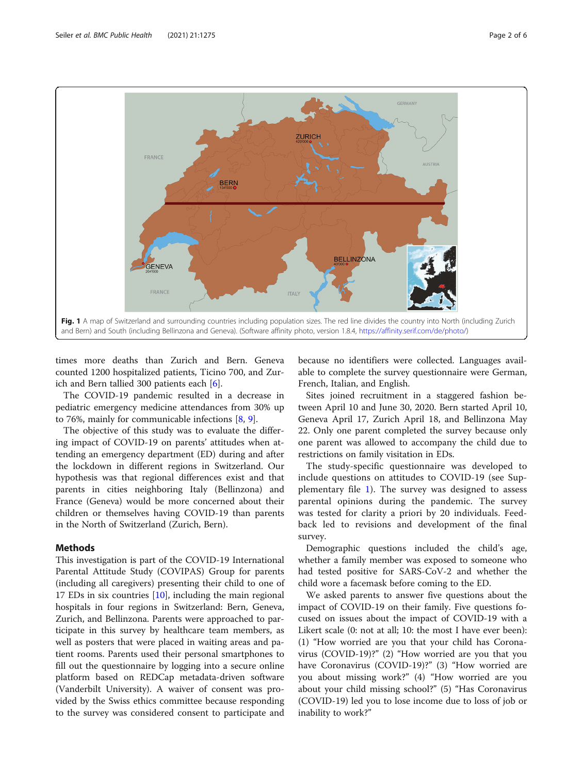<span id="page-1-0"></span>

times more deaths than Zurich and Bern. Geneva counted 1200 hospitalized patients, Ticino 700, and Zurich and Bern tallied 300 patients each [\[6](#page-5-0)].

The COVID-19 pandemic resulted in a decrease in pediatric emergency medicine attendances from 30% up to 76%, mainly for communicable infections [\[8](#page-5-0), [9](#page-5-0)].

The objective of this study was to evaluate the differing impact of COVID-19 on parents' attitudes when attending an emergency department (ED) during and after the lockdown in different regions in Switzerland. Our hypothesis was that regional differences exist and that parents in cities neighboring Italy (Bellinzona) and France (Geneva) would be more concerned about their children or themselves having COVID-19 than parents in the North of Switzerland (Zurich, Bern).

### Methods

This investigation is part of the COVID-19 International Parental Attitude Study (COVIPAS) Group for parents (including all caregivers) presenting their child to one of 17 EDs in six countries [[10](#page-5-0)], including the main regional hospitals in four regions in Switzerland: Bern, Geneva, Zurich, and Bellinzona. Parents were approached to participate in this survey by healthcare team members, as well as posters that were placed in waiting areas and patient rooms. Parents used their personal smartphones to fill out the questionnaire by logging into a secure online platform based on REDCap metadata-driven software (Vanderbilt University). A waiver of consent was provided by the Swiss ethics committee because responding to the survey was considered consent to participate and

because no identifiers were collected. Languages available to complete the survey questionnaire were German, French, Italian, and English.

Sites joined recruitment in a staggered fashion between April 10 and June 30, 2020. Bern started April 10, Geneva April 17, Zurich April 18, and Bellinzona May 22. Only one parent completed the survey because only one parent was allowed to accompany the child due to restrictions on family visitation in EDs.

The study-specific questionnaire was developed to include questions on attitudes to COVID-19 (see Supplementary file [1](#page-4-0)). The survey was designed to assess parental opinions during the pandemic. The survey was tested for clarity a priori by 20 individuals. Feedback led to revisions and development of the final survey.

Demographic questions included the child's age, whether a family member was exposed to someone who had tested positive for SARS-CoV-2 and whether the child wore a facemask before coming to the ED.

We asked parents to answer five questions about the impact of COVID-19 on their family. Five questions focused on issues about the impact of COVID-19 with a Likert scale (0: not at all; 10: the most I have ever been): (1) "How worried are you that your child has Coronavirus (COVID-19)?" (2) "How worried are you that you have Coronavirus (COVID-19)?" (3) "How worried are you about missing work?" (4) "How worried are you about your child missing school?" (5) "Has Coronavirus (COVID-19) led you to lose income due to loss of job or inability to work?"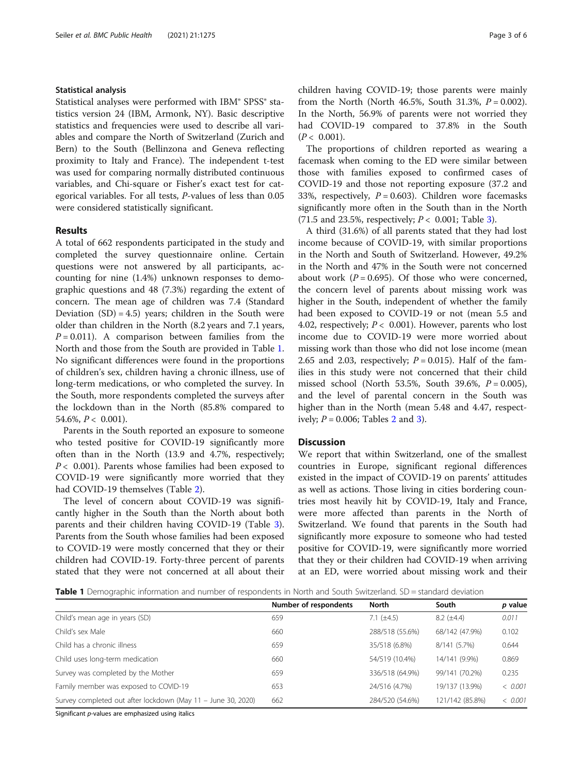#### Statistical analysis

Statistical analyses were performed with IBM® SPSS® statistics version 24 (IBM, Armonk, NY). Basic descriptive statistics and frequencies were used to describe all variables and compare the North of Switzerland (Zurich and Bern) to the South (Bellinzona and Geneva reflecting proximity to Italy and France). The independent t-test was used for comparing normally distributed continuous variables, and Chi-square or Fisher's exact test for categorical variables. For all tests, P-values of less than 0.05 were considered statistically significant.

#### Results

A total of 662 respondents participated in the study and completed the survey questionnaire online. Certain questions were not answered by all participants, accounting for nine (1.4%) unknown responses to demographic questions and 48 (7.3%) regarding the extent of concern. The mean age of children was 7.4 (Standard Deviation  $(SD) = 4.5$ ) years; children in the South were older than children in the North (8.2 years and 7.1 years,  $P = 0.011$ ). A comparison between families from the North and those from the South are provided in Table 1. No significant differences were found in the proportions of children's sex, children having a chronic illness, use of long-term medications, or who completed the survey. In the South, more respondents completed the surveys after the lockdown than in the North (85.8% compared to 54.6%,  $P < 0.001$ ).

Parents in the South reported an exposure to someone who tested positive for COVID-19 significantly more often than in the North (13.9 and 4.7%, respectively;  $P < 0.001$ ). Parents whose families had been exposed to COVID-19 were significantly more worried that they had COVID-19 themselves (Table [2\)](#page-3-0).

The level of concern about COVID-19 was significantly higher in the South than the North about both parents and their children having COVID-19 (Table [3](#page-3-0)). Parents from the South whose families had been exposed to COVID-19 were mostly concerned that they or their children had COVID-19. Forty-three percent of parents stated that they were not concerned at all about their children having COVID-19; those parents were mainly from the North (North 46.5%, South 31.3%,  $P = 0.002$ ). In the North, 56.9% of parents were not worried they had COVID-19 compared to 37.8% in the South  $(P < 0.001)$ .

The proportions of children reported as wearing a facemask when coming to the ED were similar between those with families exposed to confirmed cases of COVID-19 and those not reporting exposure (37.2 and 33%, respectively,  $P = 0.603$ ). Children wore facemasks significantly more often in the South than in the North (71.5 and 2[3](#page-3-0).5%, respectively;  $P < 0.001$ ; Table 3).

A third (31.6%) of all parents stated that they had lost income because of COVID-19, with similar proportions in the North and South of Switzerland. However, 49.2% in the North and 47% in the South were not concerned about work ( $P = 0.695$ ). Of those who were concerned, the concern level of parents about missing work was higher in the South, independent of whether the family had been exposed to COVID-19 or not (mean 5.5 and 4.02, respectively;  $P < 0.001$ ). However, parents who lost income due to COVID-19 were more worried about missing work than those who did not lose income (mean 2.65 and 2.03, respectively;  $P = 0.015$ ). Half of the families in this study were not concerned that their child missed school (North 53.5%, South 39.6%,  $P = 0.005$ ), and the level of parental concern in the South was higher than in the North (mean 5.48 and 4.47, respectively;  $P = 0.006$ ; Tables [2](#page-3-0) and [3\)](#page-3-0).

## Discussion

We report that within Switzerland, one of the smallest countries in Europe, significant regional differences existed in the impact of COVID-19 on parents' attitudes as well as actions. Those living in cities bordering countries most heavily hit by COVID-19, Italy and France, were more affected than parents in the North of Switzerland. We found that parents in the South had significantly more exposure to someone who had tested positive for COVID-19, were significantly more worried that they or their children had COVID-19 when arriving at an ED, were worried about missing work and their

Table 1 Demographic information and number of respondents in North and South Switzerland. SD = standard deviation

|                                                              | Number of respondents | North           | South             | p value |
|--------------------------------------------------------------|-----------------------|-----------------|-------------------|---------|
| Child's mean age in years (SD)                               | 659                   | 7.1 $(\pm 4.5)$ | $8.2 \ (\pm 4.4)$ | 0.011   |
| Child's sex Male                                             | 660                   | 288/518 (55.6%) | 68/142 (47.9%)    | 0.102   |
| Child has a chronic illness                                  | 659                   | 35/518 (6.8%)   | 8/141 (5.7%)      | 0.644   |
| Child uses long-term medication                              | 660                   | 54/519 (10.4%)  | 14/141 (9.9%)     | 0.869   |
| Survey was completed by the Mother                           | 659                   | 336/518 (64.9%) | 99/141 (70.2%)    | 0.235   |
| Family member was exposed to COVID-19                        | 653                   | 24/516 (4.7%)   | 19/137 (13.9%)    | < 0.001 |
| Survey completed out after lockdown (May 11 - June 30, 2020) | 662                   | 284/520 (54.6%) | 121/142 (85.8%)   | < 0.001 |

Significant p-values are emphasized using italics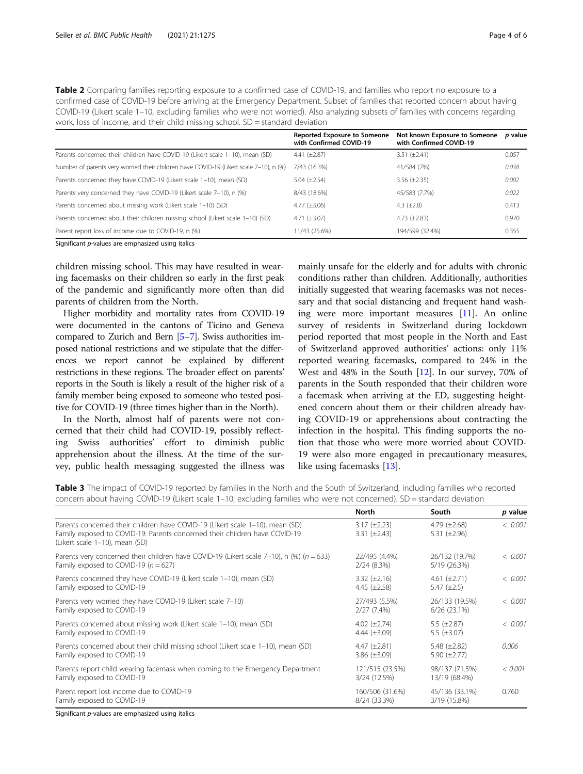| Reported Exposure to Someone Not known Exposure to Someone<br>n valu                                                              |
|-----------------------------------------------------------------------------------------------------------------------------------|
| work, loss of income, and their child missing school. SD = standard deviation                                                     |
| COVID-19 (Likert scale 1–10, excluding families who were not worried). Also analyzing subsets of families with concerns regarding |
| confirmed case of COVID-19 before arriving at the Emergency Department. Subset of families that reported concern about having     |
| <b>Table 2</b> Companing families reporting exposure to a committed case of COVID-19, and families who report no exposure to a    |

<span id="page-3-0"></span>Table 2 Comparing families reporting exposure to a confirmed case of COVID-19, and families who report no exposure to a

|                                                                                        | <b>Reported Exposure to Someone</b><br>with Confirmed COVID-19 | Not known Exposure to Someone<br>with Confirmed COVID-19 | p value |
|----------------------------------------------------------------------------------------|----------------------------------------------------------------|----------------------------------------------------------|---------|
| Parents concerned their children have COVID-19 (Likert scale 1-10), mean (SD)          | 4.41 $(\pm 2.87)$                                              | $3.51 (\pm 2.41)$                                        | 0.057   |
| Number of parents very worried their children have COVID-19 (Likert scale 7-10), n (%) | 7/43 (16.3%)                                                   | 41/584 (7%)                                              | 0.038   |
| Parents concerned they have COVID-19 (Likert scale 1-10), mean (SD)                    | 5.04 $(\pm 2.54)$                                              | $3.56 \ (\pm 2.35)$                                      | 0.002   |
| Parents very concerned they have COVID-19 (Likert scale 7-10), n (%)                   | 8/43 (18.6%)                                                   | 45/583 (7.7%)                                            | 0.022   |
| Parents concerned about missing work (Likert scale 1-10) (SD)                          | 4.77 $(\pm 3.06)$                                              | 4.3 $(\pm 2.8)$                                          | 0.413   |
| Parents concerned about their children missing school (Likert scale 1-10) (SD)         | 4.71 $(\pm 3.07)$                                              | 4.73 $(\pm 2.83)$                                        | 0.970   |
| Parent report loss of income due to COVID-19, n (%)                                    | 11/43 (25.6%)                                                  | 194/599 (32.4%)                                          | 0.355   |

Significant p-values are emphasized using italics

children missing school. This may have resulted in wearing facemasks on their children so early in the first peak of the pandemic and significantly more often than did parents of children from the North.

Higher morbidity and mortality rates from COVID-19 were documented in the cantons of Ticino and Geneva compared to Zurich and Bern [[5](#page-5-0)–[7\]](#page-5-0). Swiss authorities imposed national restrictions and we stipulate that the differences we report cannot be explained by different restrictions in these regions. The broader effect on parents' reports in the South is likely a result of the higher risk of a family member being exposed to someone who tested positive for COVID-19 (three times higher than in the North).

In the North, almost half of parents were not concerned that their child had COVID-19, possibly reflecting Swiss authorities' effort to diminish public apprehension about the illness. At the time of the survey, public health messaging suggested the illness was

mainly unsafe for the elderly and for adults with chronic conditions rather than children. Additionally, authorities initially suggested that wearing facemasks was not necessary and that social distancing and frequent hand washing were more important measures [[11](#page-5-0)]. An online survey of residents in Switzerland during lockdown period reported that most people in the North and East of Switzerland approved authorities' actions: only 11% reported wearing facemasks, compared to 24% in the West and 48% in the South [[12](#page-5-0)]. In our survey, 70% of parents in the South responded that their children wore a facemask when arriving at the ED, suggesting heightened concern about them or their children already having COVID-19 or apprehensions about contracting the infection in the hospital. This finding supports the notion that those who were more worried about COVID-19 were also more engaged in precautionary measures, like using facemasks [[13\]](#page-5-0).

Table 3 The impact of COVID-19 reported by families in the North and the South of Switzerland, including families who reported concern about having COVID-19 (Likert scale 1–10, excluding families who were not concerned). SD = standard deviation

|                                                                                                                                                                                               | North                                  | South                                  | p value |
|-----------------------------------------------------------------------------------------------------------------------------------------------------------------------------------------------|----------------------------------------|----------------------------------------|---------|
| Parents concerned their children have COVID-19 (Likert scale 1-10), mean (SD)<br>Family exposed to COVID-19: Parents concerned their children have COVID-19<br>(Likert scale 1-10), mean (SD) | $3.17 (\pm 2.23)$<br>$3.31 (\pm 2.43)$ | 4.79 $(\pm 2.68)$<br>5.31 $(\pm 2.96)$ | < 0.001 |
| Parents very concerned their children have COVID-19 (Likert scale 7-10), n (%) ( $n = 633$ )                                                                                                  | 22/495 (4.4%)                          | 26/132 (19.7%)                         | < 0.001 |
| Family exposed to COVID-19 $(n = 627)$                                                                                                                                                        | 2/24(8.3%)                             | 5/19 (26.3%)                           |         |
| Parents concerned they have COVID-19 (Likert scale 1–10), mean (SD)                                                                                                                           | $3.32 \ (\pm 2.16)$                    | 4.61 $(\pm 2.71)$                      | < 0.001 |
| Family exposed to COVID-19                                                                                                                                                                    | 4.45 $(\pm 2.58)$                      | $5.47 (\pm 2.5)$                       |         |
| Parents very worried they have COVID-19 (Likert scale 7-10)                                                                                                                                   | 27/493 (5.5%)                          | 26/133 (19.5%)                         | < 0.001 |
| Family exposed to COVID-19                                                                                                                                                                    | $2/27(7.4\%)$                          | $6/26$ (23.1%)                         |         |
| Parents concerned about missing work (Likert scale 1–10), mean (SD)                                                                                                                           | 4.02 $(\pm 2.74)$                      | 5.5 $(\pm 2.87)$                       | < 0.001 |
| Family exposed to COVID-19                                                                                                                                                                    | 4.44 $(\pm 3.09)$                      | 5.5 $(\pm 3.07)$                       |         |
| Parents concerned about their child missing school (Likert scale 1-10), mean (SD)                                                                                                             | 4.47 $(\pm 2.81)$                      | 5.48 $(\pm 2.82)$                      | 0.006   |
| Family exposed to COVID-19                                                                                                                                                                    | $3.86 \ (\pm 3.09)$                    | 5.90 $(\pm 2.77)$                      |         |
| Parents report child wearing facemask when coming to the Emergency Department                                                                                                                 | 121/515 (23.5%)                        | 98/137 (71.5%)                         | < 0.001 |
| Family exposed to COVID-19                                                                                                                                                                    | 3/24 (12.5%)                           | 13/19 (68.4%)                          |         |
| Parent report lost income due to COVID-19                                                                                                                                                     | 160/506 (31.6%)                        | 45/136 (33.1%)                         | 0.760   |
| Family exposed to COVID-19                                                                                                                                                                    | 8/24 (33.3%)                           | 3/19 (15.8%)                           |         |

Significant p-values are emphasized using italics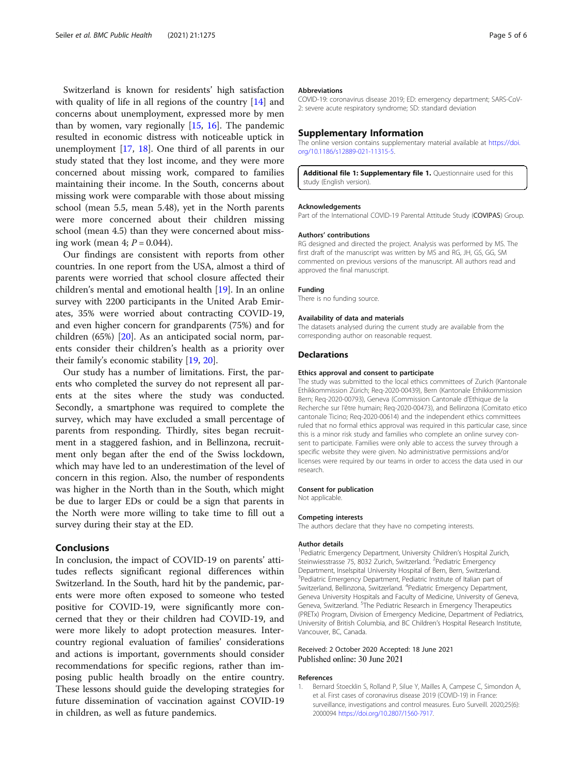<span id="page-4-0"></span>Switzerland is known for residents' high satisfaction with quality of life in all regions of the country [\[14\]](#page-5-0) and concerns about unemployment, expressed more by men than by women, vary regionally  $[15, 16]$  $[15, 16]$  $[15, 16]$  $[15, 16]$  $[15, 16]$ . The pandemic resulted in economic distress with noticeable uptick in unemployment [\[17](#page-5-0), [18](#page-5-0)]. One third of all parents in our study stated that they lost income, and they were more concerned about missing work, compared to families maintaining their income. In the South, concerns about missing work were comparable with those about missing school (mean 5.5, mean 5.48), yet in the North parents were more concerned about their children missing school (mean 4.5) than they were concerned about missing work (mean  $4$ ;  $P = 0.044$ ).

Our findings are consistent with reports from other countries. In one report from the USA, almost a third of parents were worried that school closure affected their children's mental and emotional health [[19\]](#page-5-0). In an online survey with 2200 participants in the United Arab Emirates, 35% were worried about contracting COVID-19, and even higher concern for grandparents (75%) and for children (65%) [[20\]](#page-5-0). As an anticipated social norm, parents consider their children's health as a priority over their family's economic stability [[19,](#page-5-0) [20](#page-5-0)].

Our study has a number of limitations. First, the parents who completed the survey do not represent all parents at the sites where the study was conducted. Secondly, a smartphone was required to complete the survey, which may have excluded a small percentage of parents from responding. Thirdly, sites began recruitment in a staggered fashion, and in Bellinzona, recruitment only began after the end of the Swiss lockdown, which may have led to an underestimation of the level of concern in this region. Also, the number of respondents was higher in the North than in the South, which might be due to larger EDs or could be a sign that parents in the North were more willing to take time to fill out a survey during their stay at the ED.

### Conclusions

In conclusion, the impact of COVID-19 on parents' attitudes reflects significant regional differences within Switzerland. In the South, hard hit by the pandemic, parents were more often exposed to someone who tested positive for COVID-19, were significantly more concerned that they or their children had COVID-19, and were more likely to adopt protection measures. Intercountry regional evaluation of families' considerations and actions is important, governments should consider recommendations for specific regions, rather than imposing public health broadly on the entire country. These lessons should guide the developing strategies for future dissemination of vaccination against COVID-19 in children, as well as future pandemics.

#### Abbreviations

COVID-19: coronavirus disease 2019; ED: emergency department; SARS-CoV-2: severe acute respiratory syndrome; SD: standard deviation

#### Supplementary Information

The online version contains supplementary material available at [https://doi.](https://doi.org/10.1186/s12889-021-11315-5) [org/10.1186/s12889-021-11315-5.](https://doi.org/10.1186/s12889-021-11315-5)

Additional file 1: Supplementary file 1. Questionnaire used for this study (English version).

#### Acknowledgements

Part of the International COVID-19 Parental Attitude Study (COVIPAS) Group.

#### Authors' contributions

RG designed and directed the project. Analysis was performed by MS. The first draft of the manuscript was written by MS and RG, JH, GS, GG, SM commented on previous versions of the manuscript. All authors read and approved the final manuscript.

#### Funding

There is no funding source.

#### Availability of data and materials

The datasets analysed during the current study are available from the corresponding author on reasonable request.

#### Declarations

#### Ethics approval and consent to participate

The study was submitted to the local ethics committees of Zurich (Kantonale Ethikkommission Zürich; Req-2020-00439), Bern (Kantonale Ethikkommission Bern; Req-2020-00793), Geneva (Commission Cantonale d'Ethique de la Recherche sur l'être humain; Req-2020-00473), and Bellinzona (Comitato etico cantonale Ticino; Req-2020-00614) and the independent ethics committees ruled that no formal ethics approval was required in this particular case, since this is a minor risk study and families who complete an online survey consent to participate. Families were only able to access the survey through a specific website they were given. No administrative permissions and/or licenses were required by our teams in order to access the data used in our research.

#### Consent for publication

Not applicable.

#### Competing interests

The authors declare that they have no competing interests.

#### Author details

<sup>1</sup> Pediatric Emergency Department, University Children's Hospital Zurich Steinwiesstrasse 75, 8032 Zurich, Switzerland. <sup>2</sup>Pediatric Emergency Department, Inselspital University Hospital of Bern, Bern, Switzerland. <sup>3</sup>Pediatric Emergency Department, Pediatric Institute of Italian part of Switzerland, Bellinzona, Switzerland. <sup>4</sup>Pediatric Emergency Department Geneva University Hospitals and Faculty of Medicine, University of Geneva, Geneva, Switzerland. <sup>5</sup>The Pediatric Research in Emergency Therapeutics (PRETx) Program, Division of Emergency Medicine, Department of Pediatrics, University of British Columbia, and BC Children's Hospital Research Institute, Vancouver, BC, Canada.

#### Received: 2 October 2020 Accepted: 18 June 2021 Published online: 30 June 2021

#### References

1. Bernard Stoecklin S, Rolland P, Silue Y, Mailles A, Campese C, Simondon A, et al. First cases of coronavirus disease 2019 (COVID-19) in France: surveillance, investigations and control measures. Euro Surveill. 2020;25(6): 2000094 <https://doi.org/10.2807/1560-7917>.